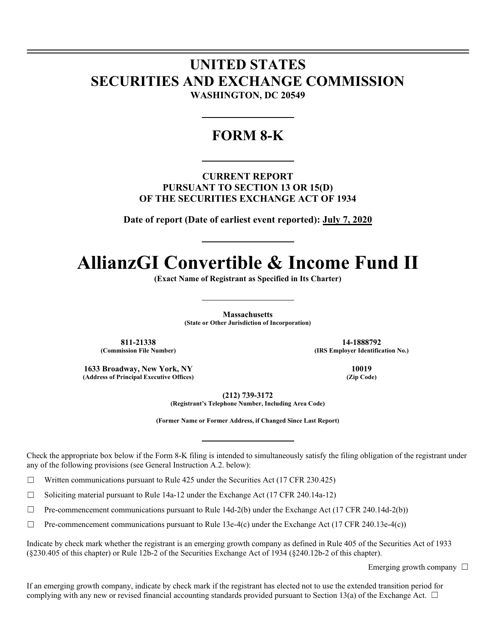# **UNITED STATES SECURITIES AND EXCHANGE COMMISSION WASHINGTON, DC 20549**

# **FORM 8-K**

**CURRENT REPORT PURSUANT TO SECTION 13 OR 15(D) OF THE SECURITIES EXCHANGE ACT OF 1934** 

**Date of report (Date of earliest event reported): July 7, 2020** 

# **AllianzGI Convertible & Income Fund II**

**(Exact Name of Registrant as Specified in Its Charter)** 

**Massachusetts (State or Other Jurisdiction of Incorporation)** 

811-21338 **14-1888792**<br>(Commission File Number) **14-1888792** (IRS Employer Identific

**(IRS Employer Identification No.)** 

**1633 Broadway, New York, NY 10019**<br>(Address of Principal Executive Offices) (Zip Code) (2ip Code) (Address of Principal Executive Offices)

**(212) 739-3172** 

**(Registrant's Telephone Number, Including Area Code)** 

**(Former Name or Former Address, if Changed Since Last Report)** 

Check the appropriate box below if the Form 8-K filing is intended to simultaneously satisfy the filing obligation of the registrant under any of the following provisions (see General Instruction A.2. below):

 $\Box$  Written communications pursuant to Rule 425 under the Securities Act (17 CFR 230.425)

 $\Box$  Soliciting material pursuant to Rule 14a-12 under the Exchange Act (17 CFR 240.14a-12)

 $\Box$  Pre-commencement communications pursuant to Rule 14d-2(b) under the Exchange Act (17 CFR 240.14d-2(b))

 $\Box$  Pre-commencement communications pursuant to Rule 13e-4(c) under the Exchange Act (17 CFR 240.13e-4(c))

Indicate by check mark whether the registrant is an emerging growth company as defined in Rule 405 of the Securities Act of 1933 (§230.405 of this chapter) or Rule 12b-2 of the Securities Exchange Act of 1934 (§240.12b-2 of this chapter).

Emerging growth company  $\Box$ 

If an emerging growth company, indicate by check mark if the registrant has elected not to use the extended transition period for complying with any new or revised financial accounting standards provided pursuant to Section 13(a) of the Exchange Act.  $\Box$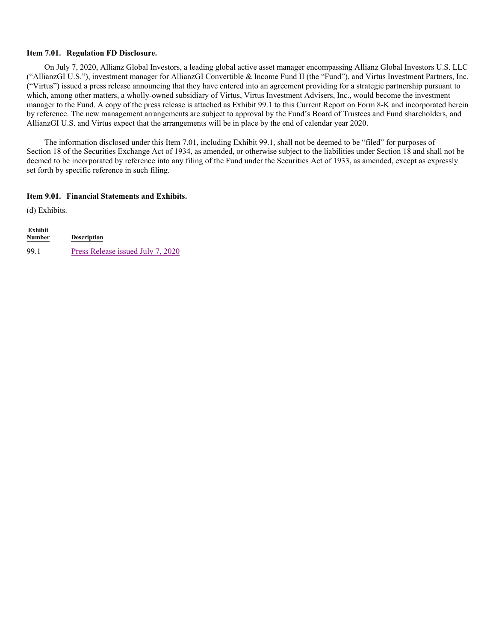#### **Item 7.01. Regulation FD Disclosure.**

On July 7, 2020, Allianz Global Investors, a leading global active asset manager encompassing Allianz Global Investors U.S. LLC ("AllianzGI U.S."), investment manager for AllianzGI Convertible & Income Fund II (the "Fund"), and Virtus Investment Partners, Inc. ("Virtus") issued a press release announcing that they have entered into an agreement providing for a strategic partnership pursuant to which, among other matters, a wholly-owned subsidiary of Virtus, Virtus Investment Advisers, Inc., would become the investment manager to the Fund. A copy of the press release is attached as Exhibit 99.1 to this Current Report on Form 8-K and incorporated herein by reference. The new management arrangements are subject to approval by the Fund's Board of Trustees and Fund shareholders, and AllianzGI U.S. and Virtus expect that the arrangements will be in place by the end of calendar year 2020.

The information disclosed under this Item 7.01, including Exhibit 99.1, shall not be deemed to be "filed" for purposes of Section 18 of the Securities Exchange Act of 1934, as amended, or otherwise subject to the liabilities under Section 18 and shall not be deemed to be incorporated by reference into any filing of the Fund under the Securities Act of 1933, as amended, except as expressly set forth by specific reference in such filing.

#### **Item 9.01. Financial Statements and Exhibits.**

(d) Exhibits.

| Exhibit<br><b>Number</b> | <b>Description</b>                |
|--------------------------|-----------------------------------|
| 99.1                     | Press Release issued July 7, 2020 |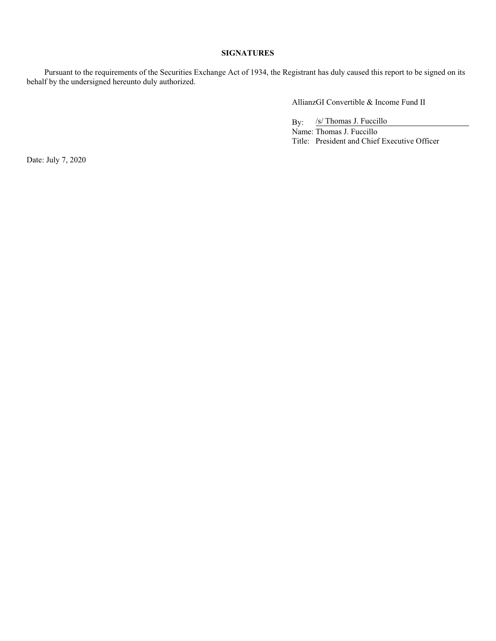# **SIGNATURES**

Pursuant to the requirements of the Securities Exchange Act of 1934, the Registrant has duly caused this report to be signed on its behalf by the undersigned hereunto duly authorized.

AllianzGI Convertible & Income Fund II

By: /s/ Thomas J. Fuccillo

Name: Thomas J. Fuccillo Title: President and Chief Executive Officer

Date: July 7, 2020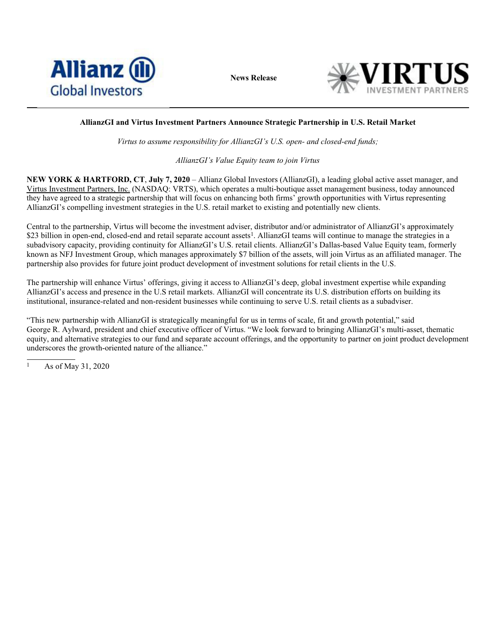

**News Release**



# **AllianzGI and Virtus Investment Partners Announce Strategic Partnership in U.S. Retail Market**

*Virtus to assume responsibility for AllianzGI's U.S. open- and closed-end funds;* 

*AllianzGI's Value Equity team to join Virtus* 

**NEW YORK & HARTFORD, CT**, **July 7, 2020** – Allianz Global Investors (AllianzGI), a leading global active asset manager, and Virtus Investment Partners, Inc. (NASDAQ: VRTS), which operates a multi-boutique asset management business, today announced they have agreed to a strategic partnership that will focus on enhancing both firms' growth opportunities with Virtus representing AllianzGI's compelling investment strategies in the U.S. retail market to existing and potentially new clients.

Central to the partnership, Virtus will become the investment adviser, distributor and/or administrator of AllianzGI's approximately \$23 billion in open-end, closed-end and retail separate account assets<sup>1</sup>. AllianzGI teams will continue to manage the strategies in a subadvisory capacity, providing continuity for AllianzGI's U.S. retail clients. AllianzGI's Dallas-based Value Equity team, formerly known as NFJ Investment Group, which manages approximately \$7 billion of the assets, will join Virtus as an affiliated manager. The partnership also provides for future joint product development of investment solutions for retail clients in the U.S.

The partnership will enhance Virtus' offerings, giving it access to AllianzGI's deep, global investment expertise while expanding AllianzGI's access and presence in the U.S retail markets. AllianzGI will concentrate its U.S. distribution efforts on building its institutional, insurance-related and non-resident businesses while continuing to serve U.S. retail clients as a subadviser.

"This new partnership with AllianzGI is strategically meaningful for us in terms of scale, fit and growth potential," said George R. Aylward, president and chief executive officer of Virtus. "We look forward to bringing AllianzGI's multi-asset, thematic equity, and alternative strategies to our fund and separate account offerings, and the opportunity to partner on joint product development underscores the growth-oriented nature of the alliance."

<sup>1</sup> As of May 31, 2020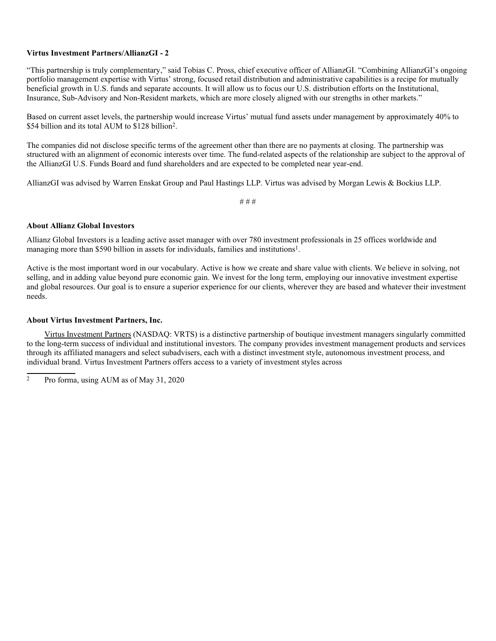## **Virtus Investment Partners/AllianzGI - 2**

"This partnership is truly complementary," said Tobias C. Pross, chief executive officer of AllianzGI. "Combining AllianzGI's ongoing portfolio management expertise with Virtus' strong, focused retail distribution and administrative capabilities is a recipe for mutually beneficial growth in U.S. funds and separate accounts. It will allow us to focus our U.S. distribution efforts on the Institutional, Insurance, Sub-Advisory and Non-Resident markets, which are more closely aligned with our strengths in other markets."

Based on current asset levels, the partnership would increase Virtus' mutual fund assets under management by approximately 40% to \$54 billion and its total AUM to \$128 billion2.

The companies did not disclose specific terms of the agreement other than there are no payments at closing. The partnership was structured with an alignment of economic interests over time. The fund-related aspects of the relationship are subject to the approval of the AllianzGI U.S. Funds Board and fund shareholders and are expected to be completed near year-end.

AllianzGI was advised by Warren Enskat Group and Paul Hastings LLP. Virtus was advised by Morgan Lewis & Bockius LLP.

# # #

#### **About Allianz Global Investors**

Allianz Global Investors is a leading active asset manager with over 780 investment professionals in 25 offices worldwide and managing more than \$590 billion in assets for individuals, families and institutions<sup>1</sup>.

Active is the most important word in our vocabulary. Active is how we create and share value with clients. We believe in solving, not selling, and in adding value beyond pure economic gain. We invest for the long term, employing our innovative investment expertise and global resources. Our goal is to ensure a superior experience for our clients, wherever they are based and whatever their investment needs.

#### **About Virtus Investment Partners, Inc.**

Virtus Investment Partners (NASDAQ: VRTS) is a distinctive partnership of boutique investment managers singularly committed to the long-term success of individual and institutional investors. The company provides investment management products and services through its affiliated managers and select subadvisers, each with a distinct investment style, autonomous investment process, and individual brand. Virtus Investment Partners offers access to a variety of investment styles across

<sup>2</sup> Pro forma, using AUM as of May 31, 2020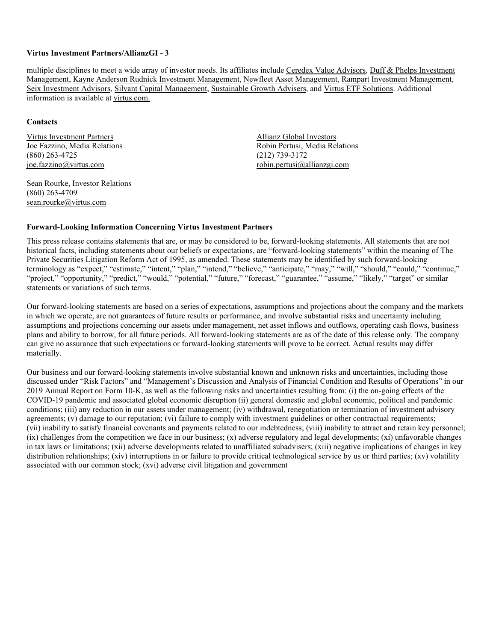## **Virtus Investment Partners/AllianzGI - 3**

multiple disciplines to meet a wide array of investor needs. Its affiliates include Ceredex Value Advisors, Duff & Phelps Investment Management, Kayne Anderson Rudnick Investment Management, Newfleet Asset Management, Rampart Investment Management, Seix Investment Advisors, Silvant Capital Management, Sustainable Growth Advisers, and Virtus ETF Solutions. Additional information is available at virtus.com.

#### **Contacts**

Virtus Investment Partners Allianz Global Investors  $(860)$  263-4725 joe.fazzino@virtus.com robin.pertusi@allianzgi.com

Sean Rourke, Investor Relations (860) 263-4709 sean.rourke@virtus.com

Joe Fazzino, Media Relations<br>
(860) 263-4725 (212) 739-3172

# **Forward-Looking Information Concerning Virtus Investment Partners**

This press release contains statements that are, or may be considered to be, forward-looking statements. All statements that are not historical facts, including statements about our beliefs or expectations, are "forward-looking statements" within the meaning of The Private Securities Litigation Reform Act of 1995, as amended. These statements may be identified by such forward-looking terminology as "expect," "estimate," "intent," "plan," "intend," "believe," "anticipate," "may," "will," "should," "could," "continue," "project," "opportunity," "predict," "would," "potential," "future," "forecast," "guarantee," "assume," "likely," "target" or similar statements or variations of such terms.

Our forward-looking statements are based on a series of expectations, assumptions and projections about the company and the markets in which we operate, are not guarantees of future results or performance, and involve substantial risks and uncertainty including assumptions and projections concerning our assets under management, net asset inflows and outflows, operating cash flows, business plans and ability to borrow, for all future periods. All forward-looking statements are as of the date of this release only. The company can give no assurance that such expectations or forward-looking statements will prove to be correct. Actual results may differ materially.

Our business and our forward-looking statements involve substantial known and unknown risks and uncertainties, including those discussed under "Risk Factors" and "Management's Discussion and Analysis of Financial Condition and Results of Operations" in our 2019 Annual Report on Form 10-K, as well as the following risks and uncertainties resulting from: (i) the on-going effects of the COVID-19 pandemic and associated global economic disruption (ii) general domestic and global economic, political and pandemic conditions; (iii) any reduction in our assets under management; (iv) withdrawal, renegotiation or termination of investment advisory agreements; (v) damage to our reputation; (vi) failure to comply with investment guidelines or other contractual requirements; (vii) inability to satisfy financial covenants and payments related to our indebtedness; (viii) inability to attract and retain key personnel;  $(ix)$  challenges from the competition we face in our business;  $(x)$  adverse regulatory and legal developments;  $(xi)$  unfavorable changes in tax laws or limitations; (xii) adverse developments related to unaffiliated subadvisers; (xiii) negative implications of changes in key distribution relationships; (xiv) interruptions in or failure to provide critical technological service by us or third parties; (xv) volatility associated with our common stock; (xvi) adverse civil litigation and government